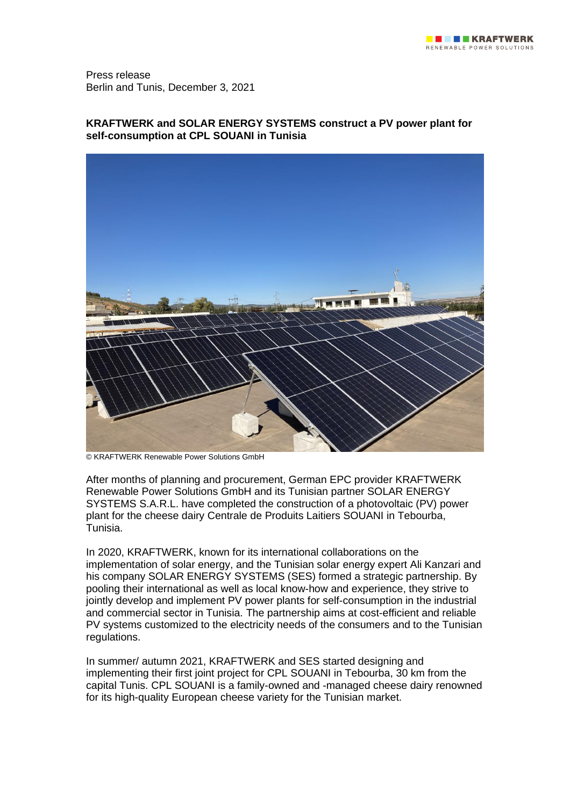Press release Berlin and Tunis, December 3, 2021

# **KRAFTWERK and SOLAR ENERGY SYSTEMS construct a PV power plant for self-consumption at CPL SOUANI in Tunisia**



© KRAFTWERK Renewable Power Solutions GmbH

After months of planning and procurement, German EPC provider KRAFTWERK Renewable Power Solutions GmbH and its Tunisian partner SOLAR ENERGY SYSTEMS S.A.R.L. have completed the construction of a photovoltaic (PV) power plant for the cheese dairy Centrale de Produits Laitiers SOUANI in Tebourba, Tunisia.

In 2020, KRAFTWERK, known for its international collaborations on the implementation of solar energy, and the Tunisian solar energy expert Ali Kanzari and his company SOLAR ENERGY SYSTEMS (SES) formed a strategic partnership. By pooling their international as well as local know-how and experience, they strive to jointly develop and implement PV power plants for self-consumption in the industrial and commercial sector in Tunisia. The partnership aims at cost-efficient and reliable PV systems customized to the electricity needs of the consumers and to the Tunisian regulations.

In summer/ autumn 2021, KRAFTWERK and SES started designing and implementing their first joint project for CPL SOUANI in Tebourba, 30 km from the capital Tunis. CPL SOUANI is a family-owned and -managed cheese dairy renowned for its high-quality European cheese variety for the Tunisian market.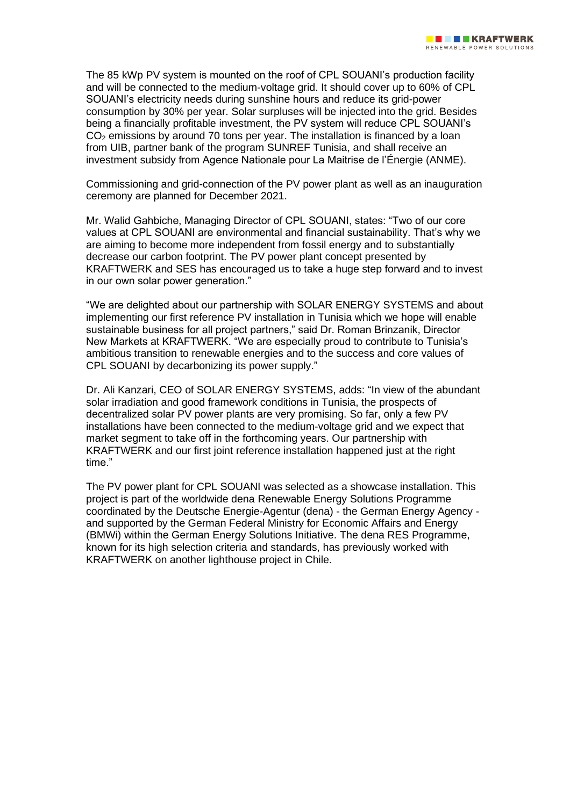The 85 kWp PV system is mounted on the roof of CPL SOUANI's production facility and will be connected to the medium-voltage grid. It should cover up to 60% of CPL SOUANI's electricity needs during sunshine hours and reduce its grid-power consumption by 30% per year. Solar surpluses will be injected into the grid. Besides being a financially profitable investment, the PV system will reduce CPL SOUANI's  $CO<sub>2</sub>$  emissions by around 70 tons per year. The installation is financed by a loan from UIB, partner bank of the program SUNREF Tunisia, and shall receive an investment subsidy from Agence Nationale pour La Maitrise de l'Énergie (ANME).

Commissioning and grid-connection of the PV power plant as well as an inauguration ceremony are planned for December 2021.

Mr. Walid Gahbiche, Managing Director of CPL SOUANI, states: "Two of our core values at CPL SOUANI are environmental and financial sustainability. That's why we are aiming to become more independent from fossil energy and to substantially decrease our carbon footprint. The PV power plant concept presented by KRAFTWERK and SES has encouraged us to take a huge step forward and to invest in our own solar power generation."

"We are delighted about our partnership with SOLAR ENERGY SYSTEMS and about implementing our first reference PV installation in Tunisia which we hope will enable sustainable business for all project partners," said Dr. Roman Brinzanik, Director New Markets at KRAFTWERK. "We are especially proud to contribute to Tunisia's ambitious transition to renewable energies and to the success and core values of CPL SOUANI by decarbonizing its power supply."

Dr. Ali Kanzari, CEO of SOLAR ENERGY SYSTEMS, adds: "In view of the abundant solar irradiation and good framework conditions in Tunisia, the prospects of decentralized solar PV power plants are very promising. So far, only a few PV installations have been connected to the medium-voltage grid and we expect that market segment to take off in the forthcoming years. Our partnership with KRAFTWERK and our first joint reference installation happened just at the right time."

The PV power plant for CPL SOUANI was selected as a showcase installation. This project is part of the worldwide dena Renewable Energy Solutions Programme coordinated by the Deutsche Energie-Agentur (dena) - the German Energy Agency and supported by the German Federal Ministry for Economic Affairs and Energy (BMWi) within the German Energy Solutions Initiative. The dena RES Programme, known for its high selection criteria and standards, has previously worked with KRAFTWERK on another lighthouse project in Chile.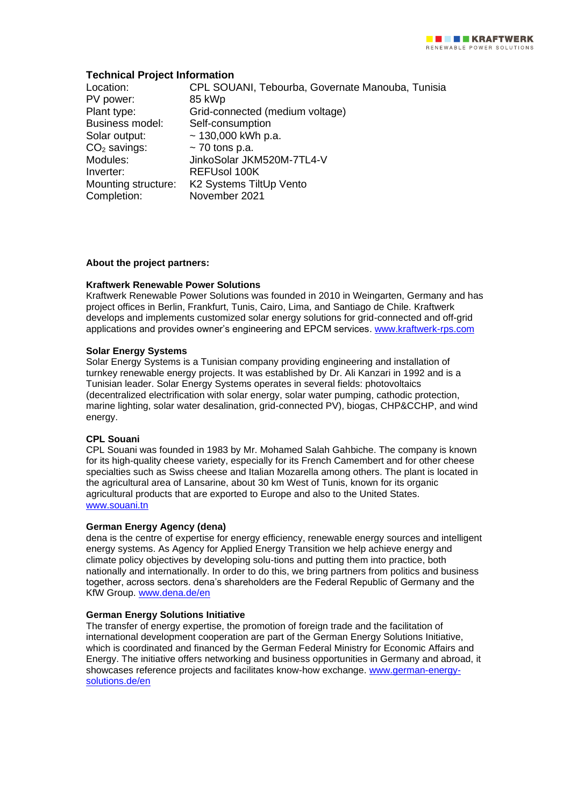# **Technical Project Information**

| Location:              | CPL SOUANI, Tebourba, Governate Manouba, Tunisia |
|------------------------|--------------------------------------------------|
| PV power:              | 85 kWp                                           |
| Plant type:            | Grid-connected (medium voltage)                  |
| <b>Business model:</b> | Self-consumption                                 |
| Solar output:          | $\sim$ 130,000 kWh p.a.                          |
| $CO2$ savings:         | $\sim$ 70 tons p.a.                              |
| Modules:               | JinkoSolar JKM520M-7TL4-V                        |
| Inverter:              | REFUsol 100K                                     |
| Mounting structure:    | K2 Systems TiltUp Vento                          |
| Completion:            | November 2021                                    |

# **About the project partners:**

# **Kraftwerk Renewable Power Solutions**

Kraftwerk Renewable Power Solutions was founded in 2010 in Weingarten, Germany and has project offices in Berlin, Frankfurt, Tunis, Cairo, Lima, and Santiago de Chile. Kraftwerk develops and implements customized solar energy solutions for grid-connected and off-grid applications and provides owner's engineering and EPCM services. [www.kraftwerk-rps.com](http://www.kraftwerk-rps.com/)

# **Solar Energy Systems**

Solar Energy Systems is a Tunisian company providing engineering and installation of turnkey renewable energy projects. It was established by Dr. Ali Kanzari in 1992 and is a Tunisian leader. Solar Energy Systems operates in several fields: photovoltaics (decentralized electrification with solar energy, solar water pumping, cathodic protection, marine lighting, solar water desalination, grid-connected PV), biogas, CHP&CCHP, and wind energy.

### **CPL Souani**

CPL Souani was founded in 1983 by Mr. Mohamed Salah Gahbiche. The company is known for its high-quality cheese variety, especially for its French Camembert and for other cheese specialties such as Swiss cheese and Italian Mozarella among others. The plant is located in the agricultural area of Lansarine, about 30 km West of Tunis, known for its organic agricultural products that are exported to Europe and also to the United States. [www.souani.tn](http://www.souani.tn/)

### **German Energy Agency (dena)**

dena is the centre of expertise for energy efficiency, renewable energy sources and intelligent energy systems. As Agency for Applied Energy Transition we help achieve energy and climate policy objectives by developing solu-tions and putting them into practice, both nationally and internationally. In order to do this, we bring partners from politics and business together, across sectors. dena's shareholders are the Federal Republic of Germany and the KfW Group. [www.dena.de/en](http://www.dena.de/en)

### **German Energy Solutions Initiative**

The transfer of energy expertise, the promotion of foreign trade and the facilitation of international development cooperation are part of the German Energy Solutions Initiative, which is coordinated and financed by the German Federal Ministry for Economic Affairs and Energy. The initiative offers networking and business opportunities in Germany and abroad, it showcases reference projects and facilitates know-how exchange. [www.german-energy](http://www.german-energy-solutions.de/en)[solutions.de/en](http://www.german-energy-solutions.de/en)